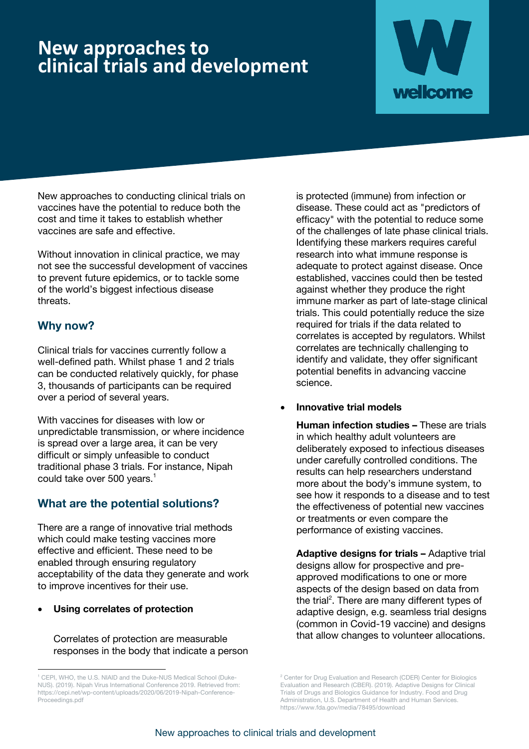## **New approaches to clinical trials and development**



New approaches to conducting clinical trials on vaccines have the potential to reduce both the cost and time it takes to establish whether vaccines are safe and effective.

Without innovation in clinical practice, we may not see the successful development of vaccines to prevent future epidemics, or to tackle some of the world's biggest infectious disease threats.

## **Why now?**

Clinical trials for vaccines currently follow a well-defined path. Whilst phase 1 and 2 trials can be conducted relatively quickly, for phase 3, thousands of participants can be required over a period of several years.

With vaccines for diseases with low or unpredictable transmission, or where incidence is spread over a large area, it can be very difficult or simply unfeasible to conduct traditional phase 3 trials. For instance, Nipah could take over 500 years. 1

## **What are the potential solutions?**

There are a range of innovative trial methods which could make testing vaccines more effective and efficient. These need to be enabled through ensuring regulatory acceptability of the data they generate and work to improve incentives for their use.

• **Using correlates of protection**

Correlates of protection are measurable responses in the body that indicate a person is protected (immune) from infection or disease. These could act as "predictors of efficacy" with the potential to reduce some of the challenges of late phase clinical trials. Identifying these markers requires careful research into what immune response is adequate to protect against disease. Once established, vaccines could then be tested against whether they produce the right immune marker as part of late-stage clinical trials. This could potentially reduce the size required for trials if the data related to correlates is accepted by regulators. Whilst correlates are technically challenging to identify and validate, they offer significant potential benefits in advancing vaccine science.

• **Innovative trial models**

**Human infection studies –** These are trials in which healthy adult volunteers are deliberately exposed to infectious diseases under carefully controlled conditions. The results can help researchers understand more about the body's immune system, to see how it responds to a disease and to test the effectiveness of potential new vaccines or treatments or even compare the performance of existing vaccines.

**Adaptive designs for trials –** Adaptive trial designs allow for prospective and preapproved modifications to one or more aspects of the design based on data from the trial<sup>2</sup>. There are many different types of adaptive design, e.g. seamless trial designs (common in Covid-19 vaccine) and designs that allow changes to volunteer allocations.

<sup>1</sup> CEPI, WHO, the U.S. NIAID and the Duke-NUS Medical School (Duke-NUS). (2019). Nipah Virus International Conference 2019. Retrieved from: https://cepi.net/wp-content/uploads/2020/06/2019-Nipah-Conference-Proceedings.pdf

<sup>&</sup>lt;sup>2</sup> Center for Drug Evaluation and Research (CDER) Center for Biologics Evaluation and Research (CBER). (2019). Adaptive Designs for Clinical Trials of Drugs and Biologics Guidance for Industry. Food and Drug Administration, U.S. Department of Health and Human Services. https://www.fda.gov/media/78495/download